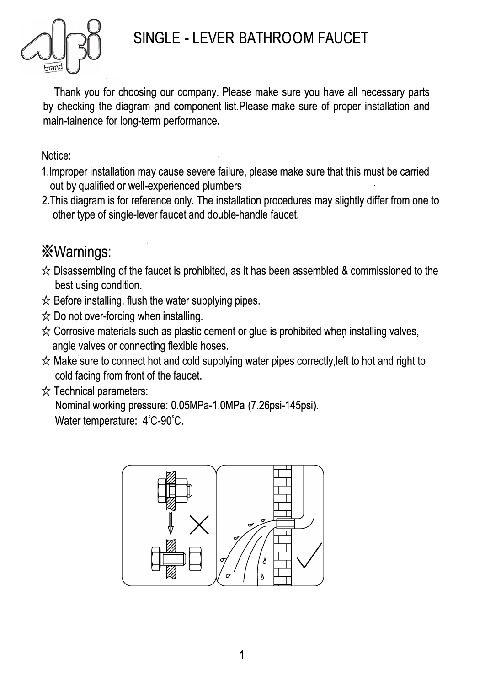

## SINGLE - LEVER BATHROOM FAUCET

Thank you for choosing our company. Please make sure you have all necessary parts by checking the diagram and component list.Please make sure of proper installation and main-tainence for long-term performance.

Notice:

- 1.lmproper installation may cause severe failure, please make sure that this must be carried out by qualified or well-experienced plumbers
- 2.This diagram is for reference only. The installation procedures may slightly differ from one to other type of single-lever faucet and double-handle faucet.

### **\*Warnings:**

- $\hat{\mathcal{R}}$  Disassembling of the faucet is prohibited, as it has been assembled & commissioned to the best using condition.
- $\hat{\varphi}$  Before installing, flush the water supplying pipes.
- $\hat{\mathbf{x}}$  Do not over-forcing when installing.
- $\hat{\mathbf{x}}$  Corrosive materials such as plastic cement or glue is prohibited when installing valves, angle valves or connecting flexible hoses.
- $\hat{\mathcal{R}}$  Make sure to connect hot and cold supplying water pipes correctly, left to hot and right to cold facing from front of the faucet.
- $\hat{\mathbf{x}}$  Technical parameters:

Nominal working pressure: 0.05MPa-1.0MPa (7.26psi-145psi). Water temperature: 4°C-90°C.

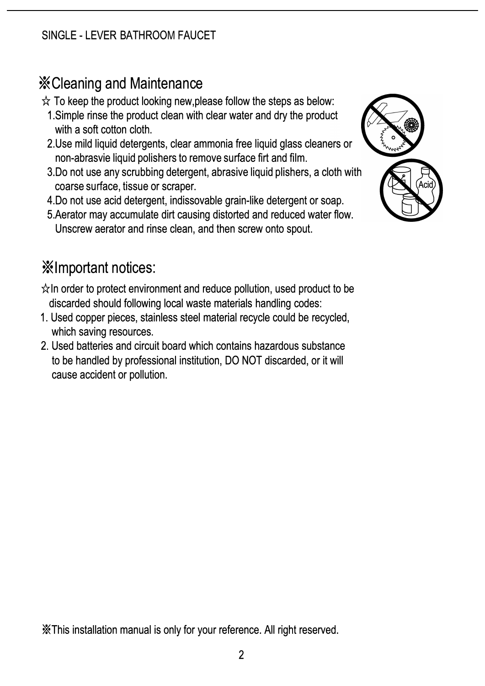# \*Cleaning and Maintenance

- $\hat{\mathbf{x}}$  To keep the product looking new, please follow the steps as below:
	- 1.Simple rinse the product clean with clear water and dry the product with a soft cotton cloth.
	- 2.Use mild liquid detergents, clear ammonia free liquid glass cleaners or non-abrasvie liquid polishers to remove surface firt and film.
	- 3.Do not use any scrubbing detergent, abrasive liquid plishers, a cloth with coarse surface, tissue or scraper.
	- 4.Do not use acid detergent, indissovable grain-like detergent or soap.
- 5.Aerator may accumulate dirt causing distorted and reduced water flow. Unscrew aerator and rinse clean, and then screw onto spout.

# \* Important notices:

- $\hat{\mathbf{x}}$ In order to protect environment and reduce pollution, used product to be discarded should following local waste materials handling codes:
- 1. Used copper pieces, stainless steel material recycle could be recycled, which saving resources.
- 2. Used batteries and circuit board which contains hazardous substance to be handled by professional institution, DO NOT discarded, or it will cause accident or pollution.



\*This installation manual is only for your reference. All right reserved.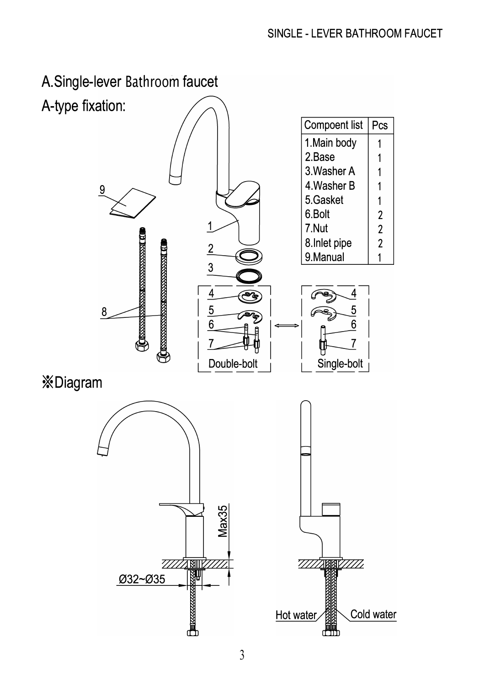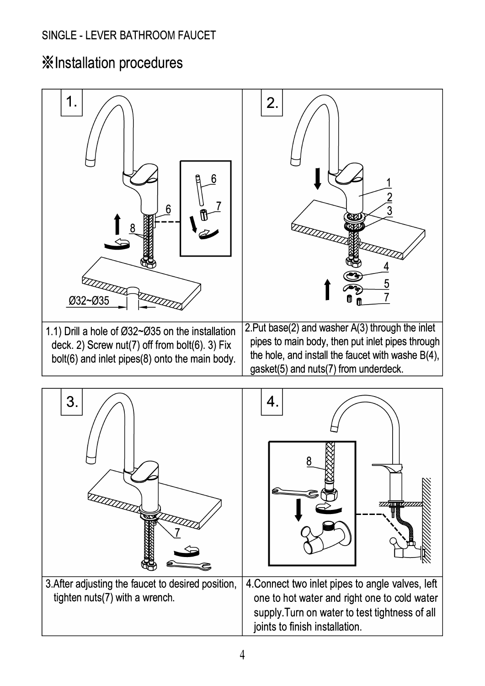#### SINGLE - LEVER BATHROOM FAUCET

### \* Installation procedures



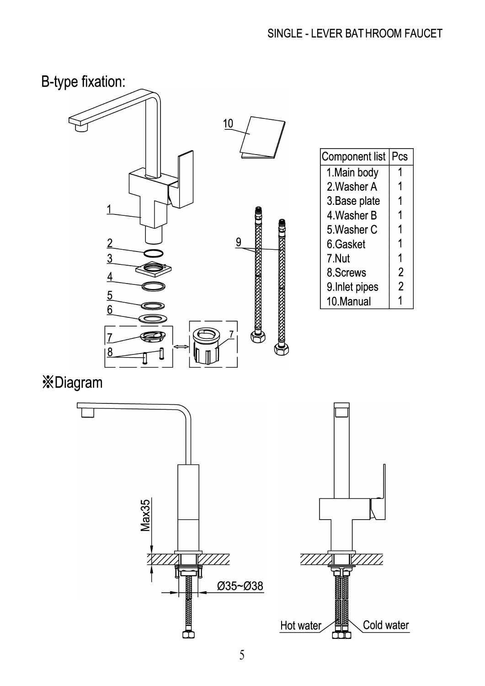

\*Diagram